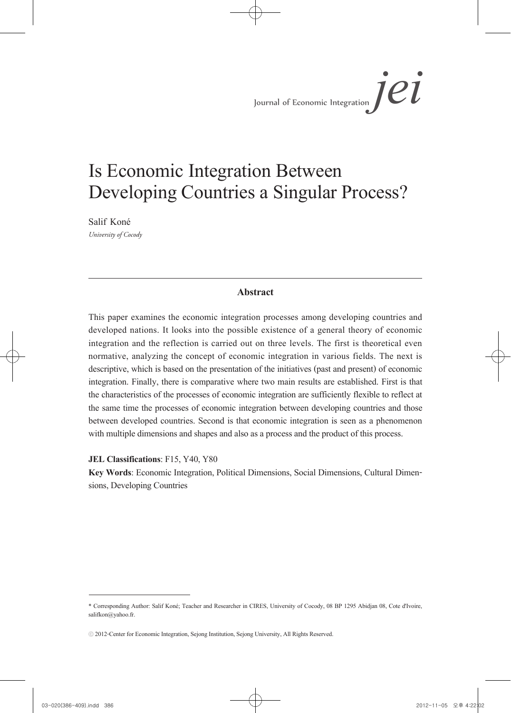### Is Economic Integration Between Developing Countries a Singular Process?

Salif Koné *University of Cocody*

#### **Abstract**

This paper examines the economic integration processes among developing countries and developed nations. It looks into the possible existence of a general theory of economic integration and the reflection is carried out on three levels. The first is theoretical even normative, analyzing the concept of economic integration in various fields. The next is descriptive, which is based on the presentation of the initiatives (past and present) of economic integration. Finally, there is comparative where two main results are established. First is that the characteristics of the processes of economic integration are sufficiently flexible to reflect at the same time the processes of economic integration between developing countries and those between developed countries. Second is that economic integration is seen as a phenomenon with multiple dimensions and shapes and also as a process and the product of this process.

**JEL Classifications**: F15, Y40, Y80

**Key Words**: Economic Integration, Political Dimensions, Social Dimensions, Cultural Dimen- sions, Developing Countries

<sup>\*</sup> Corresponding Author: Salif Koné; Teacher and Researcher in CIRES, University of Cocody, 08 BP 1295 Abidjan 08, Cote d'Ivoire, salifkon@yahoo.fr.

<sup>ⓒ</sup> 2012-Center for Economic Integration, Sejong Institution, Sejong University, All Rights Reserved.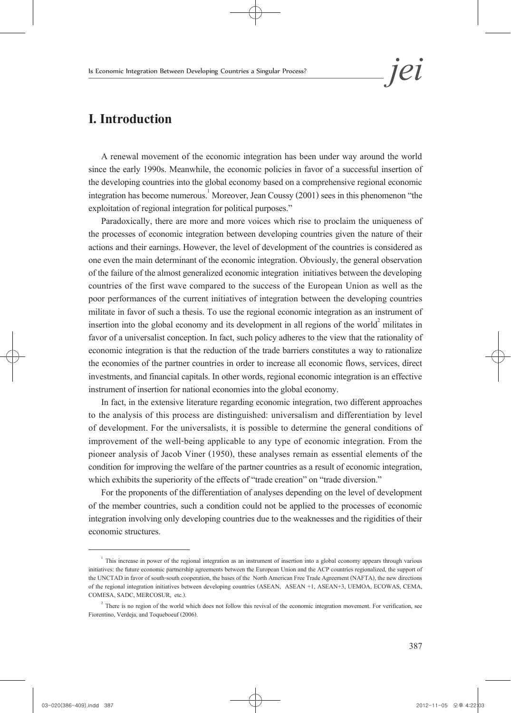### **I. Introduction**

A renewal movement of the economic integration has been under way around the world since the early 1990s. Meanwhile, the economic policies in favor of a successful insertion of the developing countries into the global economy based on a comprehensive regional economic integration has become numerous.<sup>1</sup> Moreover, Jean Coussy (2001) sees in this phenomenon "the exploitation of regional integration for political purposes."

Paradoxically, there are more and more voices which rise to proclaim the uniqueness of the processes of economic integration between developing countries given the nature of their actions and their earnings. However, the level of development of the countries is considered as one even the main determinant of the economic integration. Obviously, the general observation of the failure of the almost generalized economic integration initiatives between the developing countries of the first wave compared to the success of the European Union as well as the poor performances of the current initiatives of integration between the developing countries militate in favor of such a thesis. To use the regional economic integration as an instrument of insertion into the global economy and its development in all regions of the world<sup>2</sup> militates in favor of a universalist conception. In fact, such policy adheres to the view that the rationality of economic integration is that the reduction of the trade barriers constitutes a way to rationalize the economies of the partner countries in order to increase all economic flows, services, direct investments, and financial capitals. In other words, regional economic integration is an effective instrument of insertion for national economies into the global economy.

In fact, in the extensive literature regarding economic integration, two different approaches to the analysis of this process are distinguished: universalism and differentiation by level of development. For the universalists, it is possible to determine the general conditions of improvement of the well-being applicable to any type of economic integration. From the pioneer analysis of Jacob Viner (1950), these analyses remain as essential elements of the condition for improving the welfare of the partner countries as a result of economic integration, which exhibits the superiority of the effects of "trade creation" on "trade diversion."

For the proponents of the differentiation of analyses depending on the level of development of the member countries, such a condition could not be applied to the processes of economic integration involving only developing countries due to the weaknesses and the rigidities of their economic structures.

 $1$  This increase in power of the regional integration as an instrument of insertion into a global economy appears through various initiatives: the future economic partnership agreements between the European Union and the ACP countries regionalized, the support of the UNCTAD in favor of south-south cooperation, the bases of the North American Free Trade Agreement (NAFTA), the new directions of the regional integration initiatives between developing countries (ASEAN, ASEAN +1, ASEAN+3, UEMOA, ECOWAS, CEMA, COMESA, SADC, MERCOSUR, etc.).

 $2^2$  There is no region of the world which does not follow this revival of the economic integration movement. For verification, see Fiorentino, Verdeja, and Toqueboeuf (2006).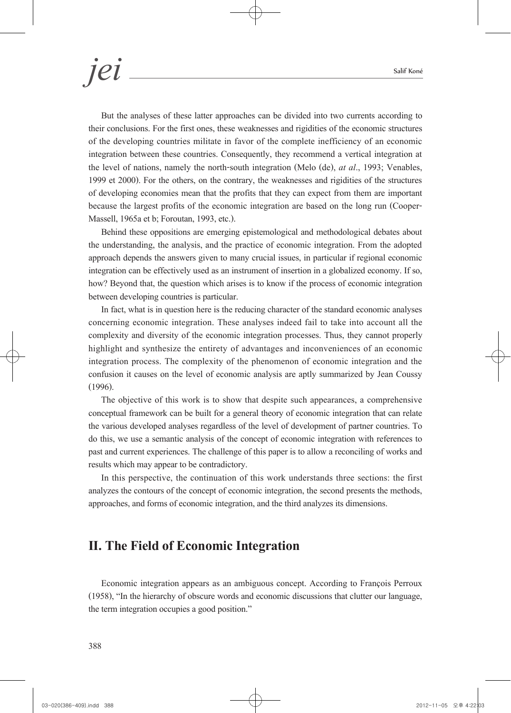But the analyses of these latter approaches can be divided into two currents according to their conclusions. For the first ones, these weaknesses and rigidities of the economic structures of the developing countries militate in favor of the complete inefficiency of an economic integration between these countries. Consequently, they recommend a vertical integration at the level of nations, namely the north-south integration (Melo (de), *at al*., 1993; Venables, 1999 et 2000). For the others, on the contrary, the weaknesses and rigidities of the structures of developing economies mean that the profits that they can expect from them are important because the largest profits of the economic integration are based on the long run (Cooper-Massell, 1965a et b; Foroutan, 1993, etc.).

Behind these oppositions are emerging epistemological and methodological debates about the understanding, the analysis, and the practice of economic integration. From the adopted approach depends the answers given to many crucial issues, in particular if regional economic integration can be effectively used as an instrument of insertion in a globalized economy. If so, how? Beyond that, the question which arises is to know if the process of economic integration between developing countries is particular.

In fact, what is in question here is the reducing character of the standard economic analyses concerning economic integration. These analyses indeed fail to take into account all the complexity and diversity of the economic integration processes. Thus, they cannot properly highlight and synthesize the entirety of advantages and inconveniences of an economic integration process. The complexity of the phenomenon of economic integration and the confusion it causes on the level of economic analysis are aptly summarized by Jean Coussy (1996).

The objective of this work is to show that despite such appearances, a comprehensive conceptual framework can be built for a general theory of economic integration that can relate the various developed analyses regardless of the level of development of partner countries. To do this, we use a semantic analysis of the concept of economic integration with references to past and current experiences. The challenge of this paper is to allow a reconciling of works and results which may appear to be contradictory.

In this perspective, the continuation of this work understands three sections: the first analyzes the contours of the concept of economic integration, the second presents the methods, approaches, and forms of economic integration, and the third analyzes its dimensions.

### **II. The Field of Economic Integration**

Economic integration appears as an ambiguous concept. According to François Perroux (1958), "In the hierarchy of obscure words and economic discussions that clutter our language, the term integration occupies a good position."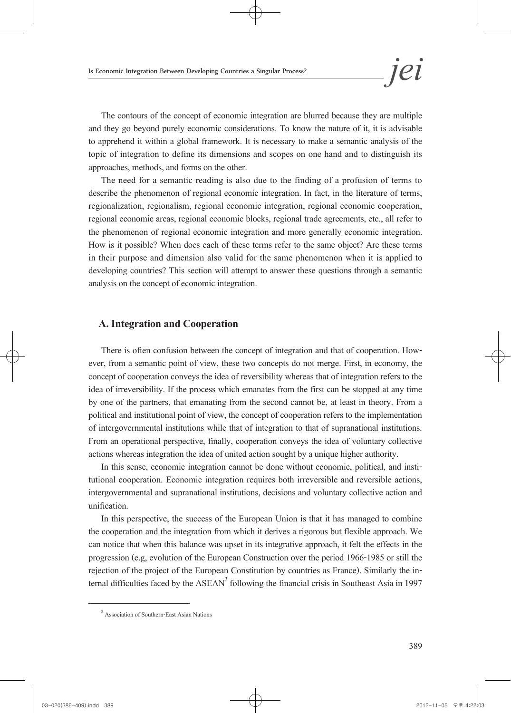The contours of the concept of economic integration are blurred because they are multiple and they go beyond purely economic considerations. To know the nature of it, it is advisable to apprehend it within a global framework. It is necessary to make a semantic analysis of the topic of integration to define its dimensions and scopes on one hand and to distinguish its approaches, methods, and forms on the other.

The need for a semantic reading is also due to the finding of a profusion of terms to describe the phenomenon of regional economic integration. In fact, in the literature of terms, regionalization, regionalism, regional economic integration, regional economic cooperation, regional economic areas, regional economic blocks, regional trade agreements, etc., all refer to the phenomenon of regional economic integration and more generally economic integration. How is it possible? When does each of these terms refer to the same object? Are these terms in their purpose and dimension also valid for the same phenomenon when it is applied to developing countries? This section will attempt to answer these questions through a semantic analysis on the concept of economic integration.

#### **A. Integration and Cooperation**

There is often confusion between the concept of integration and that of cooperation. However, from a semantic point of view, these two concepts do not merge. First, in economy, the concept of cooperation conveys the idea of reversibility whereas that of integration refers to the idea of irreversibility. If the process which emanates from the first can be stopped at any time by one of the partners, that emanating from the second cannot be, at least in theory. From a political and institutional point of view, the concept of cooperation refers to the implementation of intergovernmental institutions while that of integration to that of supranational institutions. From an operational perspective, finally, cooperation conveys the idea of voluntary collective actions whereas integration the idea of united action sought by a unique higher authority.

In this sense, economic integration cannot be done without economic, political, and insti- tutional cooperation. Economic integration requires both irreversible and reversible actions, intergovernmental and supranational institutions, decisions and voluntary collective action and unification.

In this perspective, the success of the European Union is that it has managed to combine the cooperation and the integration from which it derives a rigorous but flexible approach. We can notice that when this balance was upset in its integrative approach, it felt the effects in the progression (e.g, evolution of the European Construction over the period 1966-1985 or still the rejection of the project of the European Constitution by countries as France). Similarly the internal difficulties faced by the ASEAN<sup>3</sup> following the financial crisis in Southeast Asia in 1997

<sup>3</sup> Association of Southern-East Asian Nations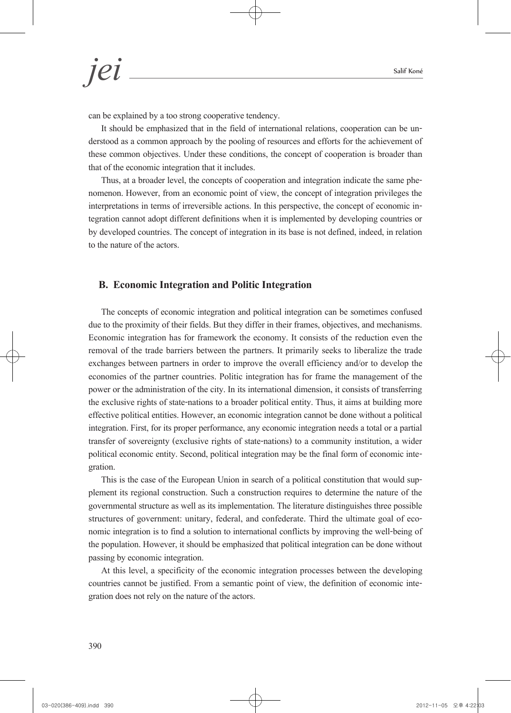can be explained by a too strong cooperative tendency.

It should be emphasized that in the field of international relations, cooperation can be un- derstood as a common approach by the pooling of resources and efforts for the achievement of these common objectives. Under these conditions, the concept of cooperation is broader than that of the economic integration that it includes.

Thus, at a broader level, the concepts of cooperation and integration indicate the same phe- nomenon. However, from an economic point of view, the concept of integration privileges the interpretations in terms of irreversible actions. In this perspective, the concept of economic in- tegration cannot adopt different definitions when it is implemented by developing countries or by developed countries. The concept of integration in its base is not defined, indeed, in relation to the nature of the actors.

#### **B. Economic Integration and Politic Integration**

The concepts of economic integration and political integration can be sometimes confused due to the proximity of their fields. But they differ in their frames, objectives, and mechanisms. Economic integration has for framework the economy. It consists of the reduction even the removal of the trade barriers between the partners. It primarily seeks to liberalize the trade exchanges between partners in order to improve the overall efficiency and/or to develop the economies of the partner countries. Politic integration has for frame the management of the power or the administration of the city. In its international dimension, it consists of transferring the exclusive rights of state-nations to a broader political entity. Thus, it aims at building more effective political entities. However, an economic integration cannot be done without a political integration. First, for its proper performance, any economic integration needs a total or a partial transfer of sovereignty (exclusive rights of state-nations) to a community institution, a wider political economic entity. Second, political integration may be the final form of economic inte- gration.

This is the case of the European Union in search of a political constitution that would supplement its regional construction. Such a construction requires to determine the nature of the governmental structure as well as its implementation. The literature distinguishes three possible structures of government: unitary, federal, and confederate. Third the ultimate goal of eco-<br>nomic integration is to find a solution to international conflicts by improving the well-being of the population. However, it should be emphasized that political integration can be done without passing by economic integration.

At this level, a specificity of the economic integration processes between the developing countries cannot be justified. From a semantic point of view, the definition of economic inte- gration does not rely on the nature of the actors.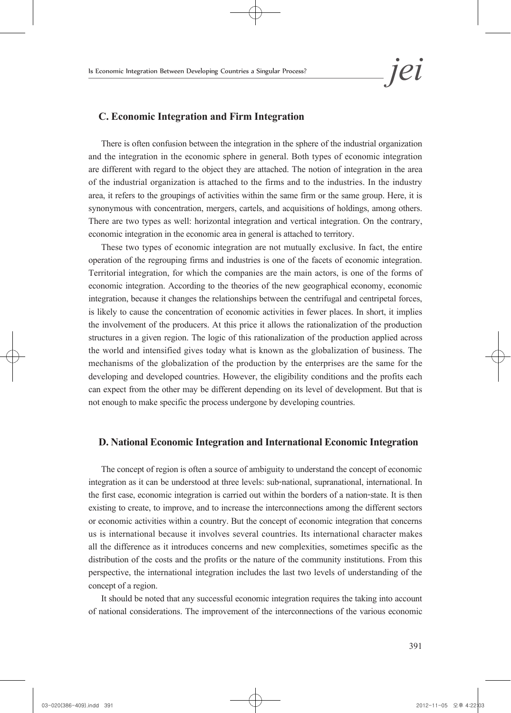#### **C. Economic Integration and Firm Integration**

There is often confusion between the integration in the sphere of the industrial organization and the integration in the economic sphere in general. Both types of economic integration are different with regard to the object they are attached. The notion of integration in the area of the industrial organization is attached to the firms and to the industries. In the industry area, it refers to the groupings of activities within the same firm or the same group. Here, it is synonymous with concentration, mergers, cartels, and acquisitions of holdings, among others. There are two types as well: horizontal integration and vertical integration. On the contrary, economic integration in the economic area in general is attached to territory.

These two types of economic integration are not mutually exclusive. In fact, the entire operation of the regrouping firms and industries is one of the facets of economic integration. Territorial integration, for which the companies are the main actors, is one of the forms of economic integration. According to the theories of the new geographical economy, economic integration, because it changes the relationships between the centrifugal and centripetal forces, is likely to cause the concentration of economic activities in fewer places. In short, it implies the involvement of the producers. At this price it allows the rationalization of the production structures in a given region. The logic of this rationalization of the production applied across the world and intensified gives today what is known as the globalization of business. The mechanisms of the globalization of the production by the enterprises are the same for the developing and developed countries. However, the eligibility conditions and the profits each can expect from the other may be different depending on its level of development. But that is not enough to make specific the process undergone by developing countries.

#### **D. National Economic Integration and International Economic Integration**

The concept of region is often a source of ambiguity to understand the concept of economic integration as it can be understood at three levels: sub-national, supranational, international. In the first case, economic integration is carried out within the borders of a nation-state. It is then existing to create, to improve, and to increase the interconnections among the different sectors or economic activities within a country. But the concept of economic integration that concerns us is international because it involves several countries. Its international character makes all the difference as it introduces concerns and new complexities, sometimes specific as the distribution of the costs and the profits or the nature of the community institutions. From this perspective, the international integration includes the last two levels of understanding of the concept of a region.

It should be noted that any successful economic integration requires the taking into account of national considerations. The improvement of the interconnections of the various economic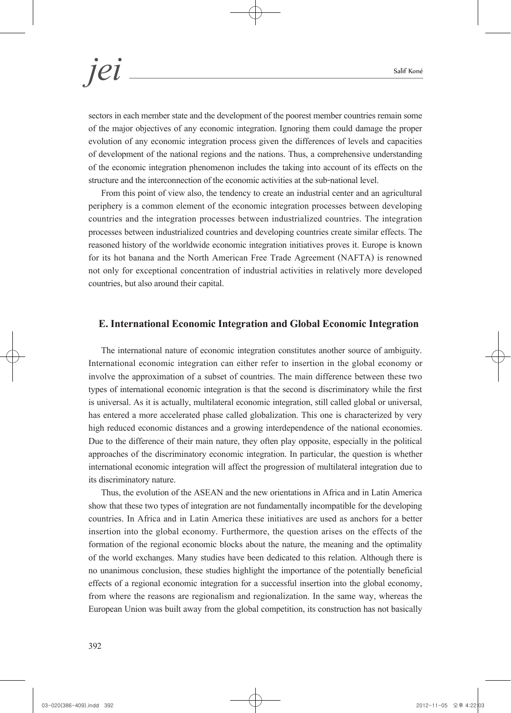sectors in each member state and the development of the poorest member countries remain some of the major objectives of any economic integration. Ignoring them could damage the proper evolution of any economic integration process given the differences of levels and capacities of development of the national regions and the nations. Thus, a comprehensive understanding of the economic integration phenomenon includes the taking into account of its effects on the structure and the interconnection of the economic activities at the sub-national level.

From this point of view also, the tendency to create an industrial center and an agricultural periphery is a common element of the economic integration processes between developing countries and the integration processes between industrialized countries. The integration processes between industrialized countries and developing countries create similar effects. The reasoned history of the worldwide economic integration initiatives proves it. Europe is known for its hot banana and the North American Free Trade Agreement (NAFTA) is renowned not only for exceptional concentration of industrial activities in relatively more developed countries, but also around their capital.

#### **E. International Economic Integration and Global Economic Integration**

The international nature of economic integration constitutes another source of ambiguity. International economic integration can either refer to insertion in the global economy or involve the approximation of a subset of countries. The main difference between these two types of international economic integration is that the second is discriminatory while the first is universal. As it is actually, multilateral economic integration, still called global or universal, has entered a more accelerated phase called globalization. This one is characterized by very high reduced economic distances and a growing interdependence of the national economies. Due to the difference of their main nature, they often play opposite, especially in the political approaches of the discriminatory economic integration. In particular, the question is whether international economic integration will affect the progression of multilateral integration due to its discriminatory nature.

Thus, the evolution of the ASEAN and the new orientations in Africa and in Latin America show that these two types of integration are not fundamentally incompatible for the developing countries. In Africa and in Latin America these initiatives are used as anchors for a better insertion into the global economy. Furthermore, the question arises on the effects of the formation of the regional economic blocks about the nature, the meaning and the optimality of the world exchanges. Many studies have been dedicated to this relation. Although there is no unanimous conclusion, these studies highlight the importance of the potentially beneficial effects of a regional economic integration for a successful insertion into the global economy, from where the reasons are regionalism and regionalization. In the same way, whereas the European Union was built away from the global competition, its construction has not basically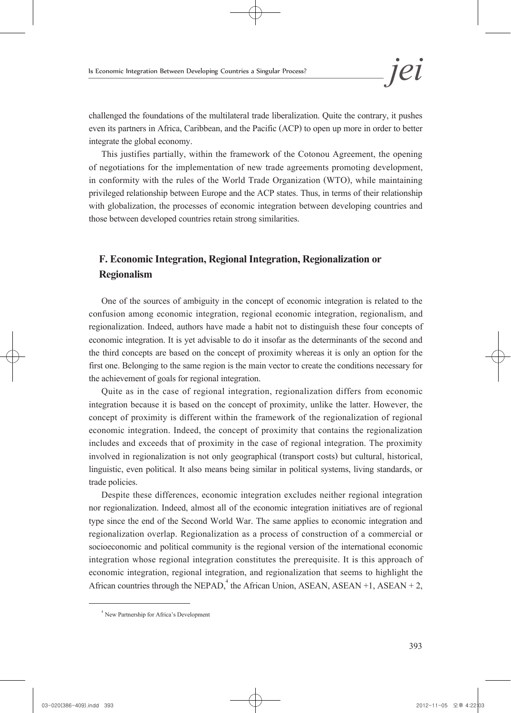challenged the foundations of the multilateral trade liberalization. Quite the contrary, it pushes even its partners in Africa, Caribbean, and the Pacific (ACP) to open up more in order to better integrate the global economy.

This justifies partially, within the framework of the Cotonou Agreement, the opening of negotiations for the implementation of new trade agreements promoting development, in conformity with the rules of the World Trade Organization (WTO), while maintaining privileged relationship between Europe and the ACP states. Thus, in terms of their relationship with globalization, the processes of economic integration between developing countries and those between developed countries retain strong similarities.

### **F. Economic Integration, Regional Integration, Regionalization or Regionalism**

One of the sources of ambiguity in the concept of economic integration is related to the confusion among economic integration, regional economic integration, regionalism, and regionalization. Indeed, authors have made a habit not to distinguish these four concepts of economic integration. It is yet advisable to do it insofar as the determinants of the second and the third concepts are based on the concept of proximity whereas it is only an option for the first one. Belonging to the same region is the main vector to create the conditions necessary for the achievement of goals for regional integration.

Quite as in the case of regional integration, regionalization differs from economic integration because it is based on the concept of proximity, unlike the latter. However, the concept of proximity is different within the framework of the regionalization of regional economic integration. Indeed, the concept of proximity that contains the regionalization includes and exceeds that of proximity in the case of regional integration. The proximity involved in regionalization is not only geographical (transport costs) but cultural, historical, linguistic, even political. It also means being similar in political systems, living standards, or trade policies.

Despite these differences, economic integration excludes neither regional integration nor regionalization. Indeed, almost all of the economic integration initiatives are of regional type since the end of the Second World War. The same applies to economic integration and regionalization overlap. Regionalization as a process of construction of a commercial or socioeconomic and political community is the regional version of the international economic integration whose regional integration constitutes the prerequisite. It is this approach of economic integration, regional integration, and regionalization that seems to highlight the African countries through the NEPAD,<sup>4</sup> the African Union, ASEAN, ASEAN +1, ASEAN +2,

<sup>4</sup> New Partnership for Africa's Development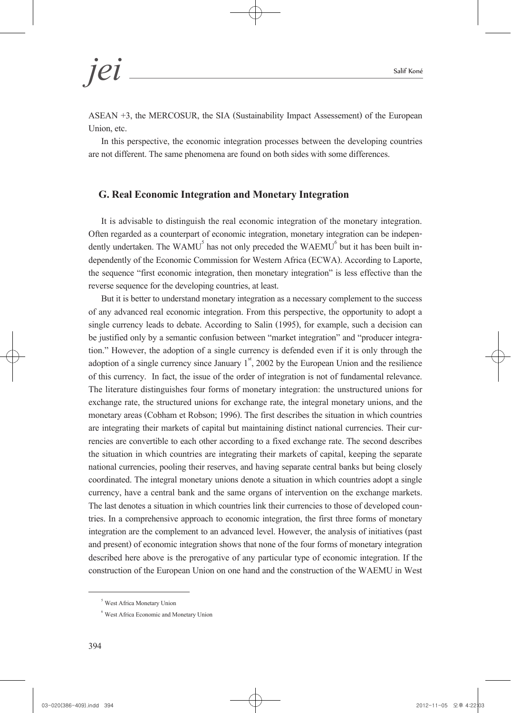*jei* Salif Koné

ASEAN +3, the MERCOSUR, the SIA (Sustainability Impact Assessement) of the European Union, etc.

In this perspective, the economic integration processes between the developing countries are not different. The same phenomena are found on both sides with some differences.

#### **G. Real Economic Integration and Monetary Integration**

It is advisable to distinguish the real economic integration of the monetary integration. Often regarded as a counterpart of economic integration, monetary integration can be independently undertaken. The WAMU<sup>5</sup> has not only preceded the WAEMU<sup>6</sup> but it has been built independently of the Economic Commission f the sequence "first economic integration, then monetary integration" is less effective than the reverse sequence for the developing countries, at least.

But it is better to understand monetary integration as a necessary complement to the success of any advanced real economic integration. From this perspective, the opportunity to adopt a single currency leads to debate. According to Salin (1995), for example, such a decision can be justified only by a semantic confusion between "market integration" and "producer integration." However, the adoption of a single currency is defended even if it is only through the adoption of a single currency since January  $1<sup>st</sup>$ , 2002 by the European Union and the resilience of this currency. In fact, the issue of the order of integration is not of fundamental relevance. The literature distinguishes four forms of monetary integration: the unstructured unions for exchange rate, the structured unions for exchange rate, the integral monetary unions, and the monetary areas (Cobham et Robson; 1996). The first describes the situation in which countries are integrating their markets of capital but maintaining distinct national currencies. Their cur- rencies are convertible to each other according to a fixed exchange rate. The second describes the situation in which countries are integrating their markets of capital, keeping the separate national currencies, pooling their reserves, and having separate central banks but being closely coordinated. The integral monetary unions denote a situation in which countries adopt a single currency, have a central bank and the same organs of intervention on the exchange markets. The last denotes a situation in which countries link their currencies to those of developed coun- tries. In a comprehensive approach to economic integration, the first three forms of monetary integration are the complement to an advanced level. However, the analysis of initiatives (past and present) of economic integration shows that none of the four forms of monetary integration described here above is the prerogative of any particular type of economic integration. If the construction of the European Union on one hand and the construction of the WAEMU in West

<sup>5</sup> West Africa Monetary Union

<sup>6</sup> West Africa Economic and Monetary Union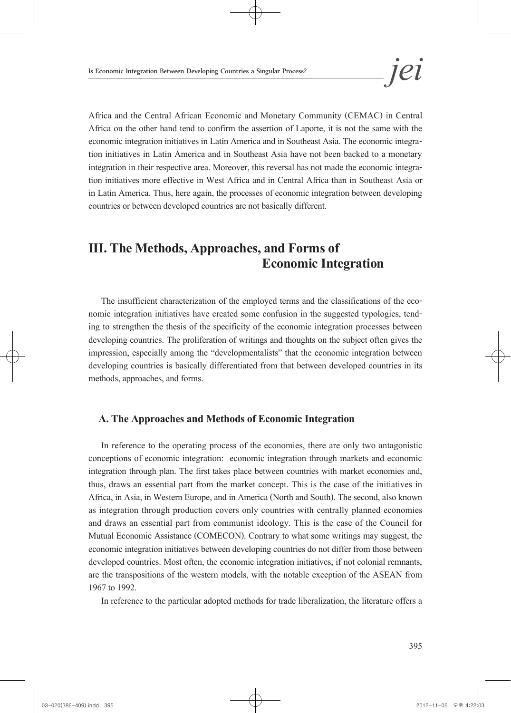Africa and the Central African Economic and Monetary Community (CEMAC) in Central Africa on the other hand tend to confirm the assertion of Laporte, it is not the same with the economic integration initiatives in Latin America and in Southeast Asia. The economic integra- tion initiatives in Latin America and in Southeast Asia have not been backed to a monetary integration in their respective area. Moreover, this reversal has not made the economic integra- tion initiatives more effective in West Africa and in Central Africa than in Southeast Asia or in Latin America. Thus, here again, the processes of economic integration between developing countries or between developed countries are not basically different.

### **III. The Methods, Approaches, and Forms of Economic Integration**

The insufficient characterization of the employed terms and the classifications of the economic integration initiatives have created some confusion in the suggested typologies, tending to strengthen the thesis of the speci developing countries. The proliferation of writings and thoughts on the subject often gives the impression, especially among the "developmentalists" that the economic integration between developing countries is basically differentiated from that between developed countries in its methods, approaches, and forms.

#### **A. The Approaches and Methods of Economic Integration**

In reference to the operating process of the economies, there are only two antagonistic conceptions of economic integration: economic integration through markets and economic integration through plan. The first takes place between countries with market economies and, thus, draws an essential part from the market concept. This is the case of the initiatives in Africa, in Asia, in Western Europe, and in America (North and South). The second, also known as integration through production covers only countries with centrally planned economies and draws an essential part from communist ideology. This is the case of the Council for Mutual Economic Assistance (COMECON). Contrary to what some writings may suggest, the economic integration initiatives between developing countries do not differ from those between developed countries. Most often, the economic integration initiatives, if not colonial remnants, are the transpositions of the western models, with the notable exception of the ASEAN from 1967 to 1992.

In reference to the particular adopted methods for trade liberalization, the literature offers a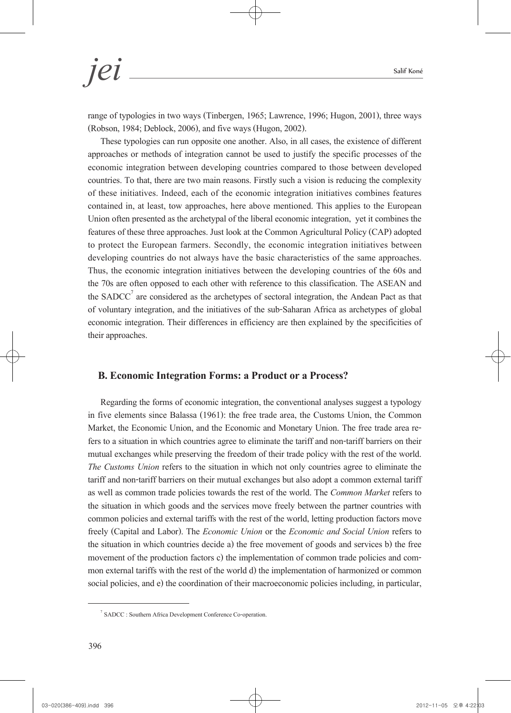range of typologies in two ways (Tinbergen, 1965; Lawrence, 1996; Hugon, 2001), three ways (Robson, 1984; Deblock, 2006), and five ways (Hugon, 2002).

These typologies can run opposite one another. Also, in all cases, the existence of different approaches or methods of integration cannot be used to justify the specific processes of the economic integration between developing countries compared to those between developed countries. To that, there are two main reasons. Firstly such a vision is reducing the complexity of these initiatives. Indeed, each of the economic integration initiatives combines features contained in, at least, tow approaches, here above mentioned. This applies to the European Union often presented as the archetypal of the liberal economic integration, yet it combines the features of these three approaches. Just look at the Common Agricultural Policy (CAP) adopted to protect the European farmers. Secondly, the economic integration initiatives between developing countries do not always have the basic characteristics of the same approaches. Thus, the economic integration initiatives between the developing countries of the 60s and the 70s are often opposed to each other with reference to this classification. The ASEAN and the  $SADC<sup>7</sup>$  are considered as the archetypes of sectoral integration, the Andean Pact as that of voluntary integration, and the initiatives of the sub-Saharan Africa as archetypes of global economic integration. Their differences in efficiency are then explained by the specificities of their approaches.

#### **B. Economic Integration Forms: a Product or a Process?**

Regarding the forms of economic integration, the conventional analyses suggest a typology in five elements since Balassa (1961): the free trade area, the Customs Union, the Common Market, the Economic Union, and the Economic and Monetary Union. The free trade area re-<br>fers to a situation in which countries agree to eliminate the tariff and non-tariff barriers on their mutual exchanges while preserving the freedom of their trade policy with the rest of the world. *The Customs Union* refers to the situation in which not only countries agree to eliminate the tariff and non-tariff barriers on their mutual exchanges but also adopt a common external tariff as well as common trade policies towards the rest of the world. The *Common Market* refers to the situation in which goods and the services move freely between the partner countries with common policies and external tariffs with the rest of the world, letting production factors move freely (Capital and Labor). The *Economic Union* or the *Economic and Social Union* refers to the situation in which countries decide a) the free movement of goods and services b) the free movement of the production factors c) the implementation of common trade policies and com-<br>mon external tariffs with the rest of the world d) the implementation of harmonized or common social policies, and e) the coordination of their macroeconomic policies including, in particular,

<sup>7</sup> SADCC : Southern Africa Development Conference Co-operation.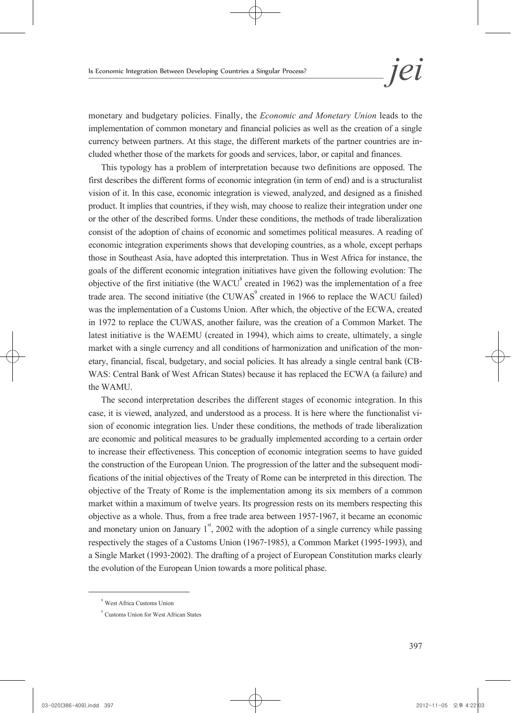monetary and budgetary policies. Finally, the *Economic and Monetary Union* leads to the implementation of common monetary and financial policies as well as the creation of a single currency between partners. At this stage, the different markets of the partner countries are in- cluded whether those of the markets for goods and services, labor, or capital and finances.

This typology has a problem of interpretation because two definitions are opposed. The first describes the different forms of economic integration (in term of end) and is a structuralist vision of it. In this case, economic integration is viewed, analyzed, and designed as a finished product. It implies that countries, if they wish, may choose to realize their integration under one or the other of the described forms. Under these conditions, the methods of trade liberalization consist of the adoption of chains of economic and sometimes political measures. A reading of economic integration experiments shows that developing countries, as a whole, except perhaps those in Southeast Asia, have adopted this interpretation. Thus in West Africa for instance, the goals of the different economic integration initiatives have given the following evolution: The objective of the first initiative (the  $WACU^8$  created in 1962) was the implementation of a free trade area. The second initiative (the CUWAS $\degree$  created in 1966 to replace the WACU failed) was the implementation of a Customs Union. After which, the objective of the ECWA, created in 1972 to replace the CUWAS, another failure, was the creation of a Common Market. The latest initiative is the WAEMU (created in 1994), which aims to create, ultimately, a single market with a single currency and all conditions of harmonization and unification of the monetary, financial, fiscal, budgetary, and social policies. It has already a single central bank (CB-WAS: Central Bank of West Afric the WAMU.

The second interpretation describes the different stages of economic integration. In this case, it is viewed, analyzed, and understood as a process. It is here where the functionalist vi- sion of economic integration lies. Under these conditions, the methods of trade liberalization are economic and political measures to be gradually implemented according to a certain order to increase their effectiveness. This conception of economic integration seems to have guided the construction of the European Union. The progression of the latter and the subsequent modi- fications of the initial objectives of the Treaty of Rome can be interpreted in this direction. The objective of the Treaty of Rome is the implementation among its six members of a common market within a maximum of twelve years. Its progression rests on its members respecting this objective as a whole. Thus, from a free trade area between 1957-1967, it became an economic and monetary union on January  $1<sup>st</sup>$ , 2002 with the adoption of a single currency while passing respectively the stages of a Customs Union (1967-1985), a Common Market (1995-1993), and a Single Market (1993-2002). The drafting of a project of European Constitution marks clearly the evolution of the European Union towards a more political phase.

<sup>8</sup> West Africa Customs Union

<sup>9</sup> Customs Union for West African States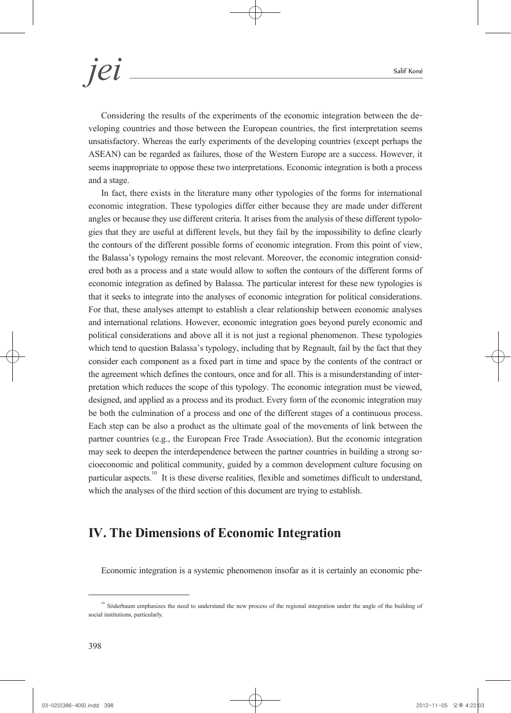Considering the results of the experiments of the economic integration between the developing countries and those between the European countries, the first interpretation seems unsatisfactory. Whereas the early experiments of the developing countries (except perhaps the ASEAN) can be regarded as failures, those of the Western Europe are a success. However, it seems inappropriate to oppose these two interpretations. Economic integration is both a process and a stage.

In fact, there exists in the literature many other typologies of the forms for international economic integration. These typologies differ either because they are made under different angles or because they use different criteria. It arises from the analysis of these different typologies that they are useful at different levels, but they fail by the impossibility to define clearly the contours of the different possible forms of economic integration. From this point of view, the Balassa's typology remains the most relevant. Moreover, the economic integration consid- ered both as a process and a state would allow to soften the contours of the different forms of economic integration as defined by Balassa. The particular interest for these new typologies is that it seeks to integrate into the analyses of economic integration for political considerations. For that, these analyses attempt to establish a clear relationship between economic analyses and international relations. However, economic integration goes beyond purely economic and political considerations and above all it is not just a regional phenomenon. These typologies which tend to question Balassa's typology, including that by Regnault, fail by the fact that they consider each component as a fixed part in time and space by the contents of the contract or the agreement which defines the contours, once and for all. This is a misunderstanding of inter- pretation which reduces the scope of this typology. The economic integration must be viewed, designed, and applied as a process and its product. Every form of the economic integration may be both the culmination of a process and one of the different stages of a continuous process. Each step can be also a product as the ultimate goal of the movements of link between the partner countries (e.g., the European Free Trade Association). But the economic integration may seek to deepen the interdependence between the partner countries in building a strong so- cioeconomic and political community, guided by a common development culture focusing on particular aspects.<sup>10</sup> It is these diverse realities, flexible and sometimes difficult to understand, which the analyses of the third section of this document are trying to establish.

### **IV. The Dimensions of Economic Integration**

Economic integration is a systemic phenomenon insofar as it is certainly an economic phe-

<sup>&</sup>lt;sup>10</sup> Söderbaum emphasizes the need to understand the new process of the regional integration under the angle of the building of social institutions, particularly.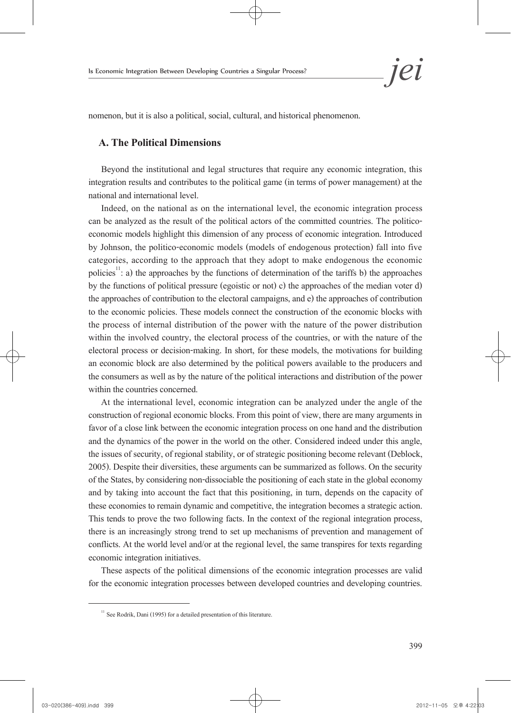

nomenon, but it is also a political, social, cultural, and historical phenomenon.

#### **A. The Political Dimensions**

Beyond the institutional and legal structures that require any economic integration, this integration results and contributes to the political game (in terms of power management) at the national and international level.

Indeed, on the national as on the international level, the economic integration process can be analyzed as the result of the political actors of the committed countries. The politicoeconomic models highlight this dimension of any process of economic integration. Introduced by Johnson, the politico-economic models (models of endogenous protection) fall into five categories, according to the approach that they adopt to make endogenous the economic policies<sup>11</sup>: a) the approaches by the functions of determination of the tariffs b) the approaches by the functions of political pressure (egoistic or not) c) the approaches of the median voter d) the approaches of contribution to the electoral campaigns, and e) the approaches of contribution to the economic policies. These models connect the construction of the economic blocks with the process of internal distribution of the power with the nature of the power distribution within the involved country, the electoral process of the countries, or with the nature of the electoral process or decision-making. In short, for these models, the motivations for building an economic block are also determined by the political powers available to the producers and the consumers as well as by the nature of the political interactions and distribution of the power within the countries concerned.

At the international level, economic integration can be analyzed under the angle of the construction of regional economic blocks. From this point of view, there are many arguments in favor of a close link between the economic integration process on one hand and the distribution and the dynamics of the power in the world on the other. Considered indeed under this angle, the issues of security, of regional stability, or of strategic positioning become relevant (Deblock, 2005). Despite their diversities, these arguments can be summarized as follows. On the security of the States, by considering non-dissociable the positioning of each state in the global economy and by taking into account the fact that this positioning, in turn, depends on the capacity of these economies to remain dynamic and competitive, the integration becomes a strategic action. This tends to prove the two following facts. In the context of the regional integration process, there is an increasingly strong trend to set up mechanisms of prevention and management of conflicts. At the world level and/or at the regional level, the same transpires for texts regarding economic integration initiatives.

These aspects of the political dimensions of the economic integration processes are valid for the economic integration processes between developed countries and developing countries.

 $11$  See Rodrik, Dani (1995) for a detailed presentation of this literature.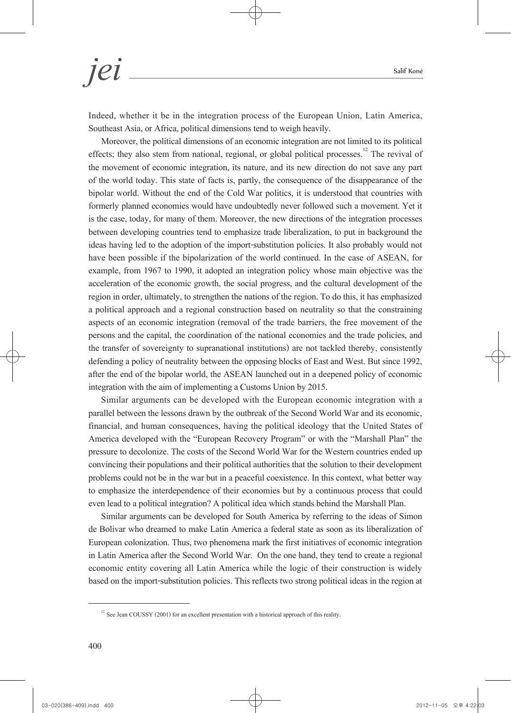Indeed, whether it be in the integration process of the European Union, Latin America, Southeast Asia, or Africa, political dimensions tend to weigh heavily.

Moreover, the political dimensions of an economic integration are not limited to its political effects; they also stem from national, regional, or global political processes.<sup>12</sup> The revival of the movement of economic integration, its nature, and its new direction do not save any part of the world today. This state of facts is, partly, the consequence of the disappearance of the bipolar world. Without the end of the Cold War politics, it is understood that countries with formerly planned economies would have undoubtedly never followed such a movement. Yet it is the case, today, for many of them. Moreover, the new directions of the integration processes between developing countries tend to emphasize trade liberalization, to put in background the ideas having led to the adoption of the import-substitution policies. It also probably would not have been possible if the bipolarization of the world continued. In the case of ASEAN, for example, from 1967 to 1990, it adopted an integration policy whose main objective was the acceleration of the economic growth, the social progress, and the cultural development of the region in order, ultimately, to strengthen the nations of the region. To do this, it has emphasized a political approach and a regional construction based on neutrality so that the constraining aspects of an economic integration (removal of the trade barriers, the free movement of the persons and the capital, the coordination of the national economies and the trade policies, and the transfer of sovereignty to supranational institutions) are not tackled thereby, consistently defending a policy of neutrality between the opposing blocks of East and West. But since 1992, after the end of the bipolar world, the ASEAN launched out in a deepened policy of economic integration with the aim of implementing a Customs Union by 2015.

Similar arguments can be developed with the European economic integration with a parallel between the lessons drawn by the outbreak of the Second World War and its economic, financial, and human consequences, having the political ideology that the United States of America developed with the "European Recovery Program" or with the "Marshall Plan" the pressure to decolonize. The costs of the Second World War for the Western countries ended up convincing their populations and their political authorities that the solution to their development problems could not be in the war but in a peaceful coexistence. In this context, what better way to emphasize the interdependence of their economies but by a continuous process that could even lead to a political integration? A political idea which stands behind the Marshall Plan.

Similar arguments can be developed for South America by referring to the ideas of Simon de Bolivar who dreamed to make Latin America a federal state as soon as its liberalization of European colonization. Thus, two phenomena mark the first initiatives of economic integration in Latin America after the Second World War. On the one hand, they tend to create a regional economic entity covering all Latin America while the logic of their construction is widely based on the import-substitution policies. This reflects two strong political ideas in the region at

 $12$  See Jean COUSSY (2001) for an excellent presentation with a historical approach of this reality.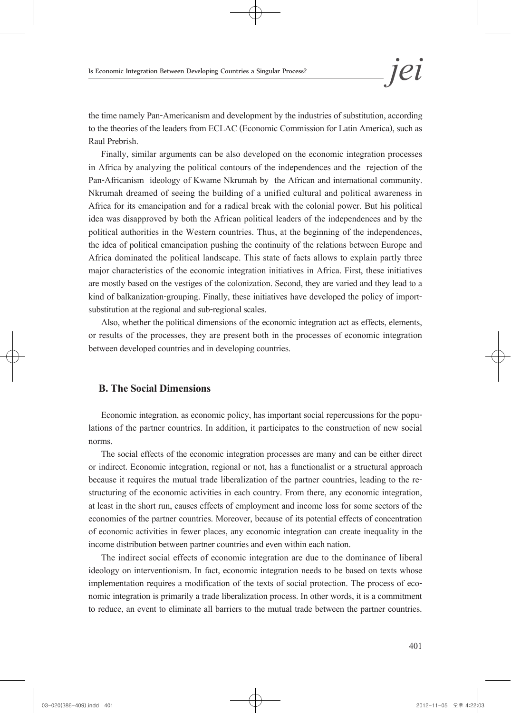the time namely Pan-Americanism and development by the industries of substitution, according to the theories of the leaders from ECLAC (Economic Commission for Latin America), such as Raul Prebrish.

Finally, similar arguments can be also developed on the economic integration processes in Africa by analyzing the political contours of the independences and the rejection of the Pan-Africanism ideology of Kwame Nkrumah by the African and international community. Nkrumah dreamed of seeing the building of a unified cultural and political awareness in Africa for its emancipation and for a radical break with the colonial power. But his political idea was disapproved by both the African political leaders of the independences and by the political authorities in the Western countries. Thus, at the beginning of the independences, the idea of political emancipation pushing the continuity of the relations between Europe and Africa dominated the political landscape. This state of facts allows to explain partly three major characteristics of the economic integration initiatives in Africa. First, these initiatives are mostly based on the vestiges of the colonization. Second, they are varied and they lead to a kind of balkanization-grouping. Finally, these initiatives have developed the policy of importsubstitution at the regional and sub-regional scales.

Also, whether the political dimensions of the economic integration act as effects, elements, or results of the processes, they are present both in the processes of economic integration between developed countries and in developing countries.

#### **B. The Social Dimensions**

Economic integration, as economic policy, has important social repercussions for the popu- lations of the partner countries. In addition, it participates to the construction of new social norms.

The social effects of the economic integration processes are many and can be either direct or indirect. Economic integration, regional or not, has a functionalist or a structural approach because it requires the mutual trade liberalization of the partner countries, leading to the re- structuring of the economic activities in each country. From there, any economic integration, at least in the short run, causes effects of employment and income loss for some sectors of the economies of the partner countries. Moreover, because of its potential effects of concentration of economic activities in fewer places, any economic integration can create inequality in the income distribution between partner countries and even within each nation.

The indirect social effects of economic integration are due to the dominance of liberal ideology on interventionism. In fact, economic integration needs to be based on texts whose implementation requires a modification of the texts of social protection. The process of eco-<br>nomic integration is primarily a trade liberalization process. In other words, it is a commitment to reduce, an event to eliminate all barriers to the mutual trade between the partner countries.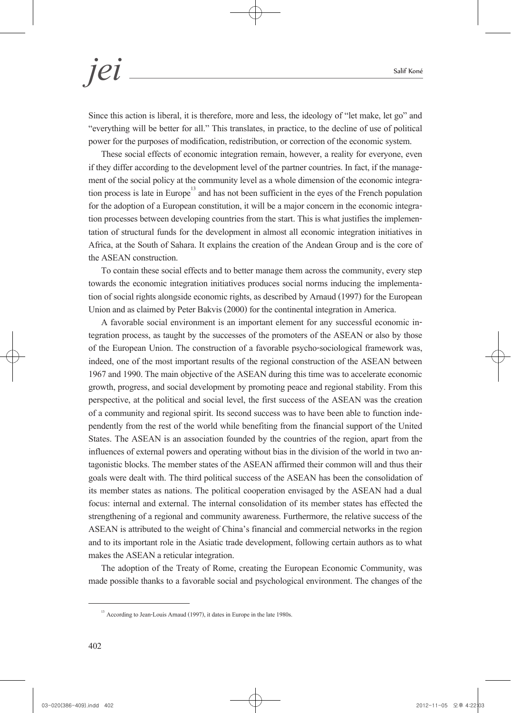Since this action is liberal, it is therefore, more and less, the ideology of "let make, let go" and "everything will be better for all." This translates, in practice, to the decline of use of political power for the purposes of modification, redistribution, or correction of the economic system.

These social effects of economic integration remain, however, a reality for everyone, even if they differ according to the development level of the partner countries. In fact, if the management of the social policy at the community level as a whole dimension of the economic integration process is late in Europe for the adoption of a European constitution, it will be a major concern in the economic integra-<br>tion processes between developing countries from the start. This is what justifies the implemen-<br>tation of structural funds f Africa, at the South of Sahara. It explains the creation of the Andean Group and is the core of the ASEAN construction.

To contain these social effects and to better manage them across the community, every step towards the economic integration initiatives produces social norms inducing the implementa- tion of social rights alongside economic rights, as described by Arnaud (1997) for the European Union and as claimed by Peter Bakvis (2000) for the continental integration in America.

A favorable social environment is an important element for any successful economic in-<br>tegration process, as taught by the successes of the promoters of the ASEAN or also by those of the European Union. The construction of a favorable psycho-sociological framework was, indeed, one of the most important results of the regional construction of the ASEAN between 1967 and 1990. The main objective of the ASEAN during this time was to accelerate economic growth, progress, and social development by promoting peace and regional stability. From this perspective, at the political and social level, the first success of the ASEAN was the creation of a community and regional spirit. Its second success was to have been able to function inde- pendently from the rest of the world while benefiting from the financial support of the United States. The ASEAN is an association founded by the countries of the region, apart from the influences of external powers and operating without bias in the division of the world in two an- tagonistic blocks. The member states of the ASEAN affirmed their common will and thus their goals were dealt with. The third political success of the ASEAN has been the consolidation of its member states as nations. The political cooperation envisaged by the ASEAN had a dual focus: internal and external. The internal consolidation of its member states has effected the strengthening of a regional and community awareness. Furthermore, the relative success of the ASEAN is attributed to the weight of China's financial and commercial networks in the region and to its important role in the Asiatic trade development, following certain authors as to what makes the ASEAN a reticular integration.

The adoption of the Treaty of Rome, creating the European Economic Community, was made possible thanks to a favorable social and psychological environment. The changes of the

<sup>&</sup>lt;sup>13</sup> According to Jean-Louis Arnaud (1997), it dates in Europe in the late 1980s.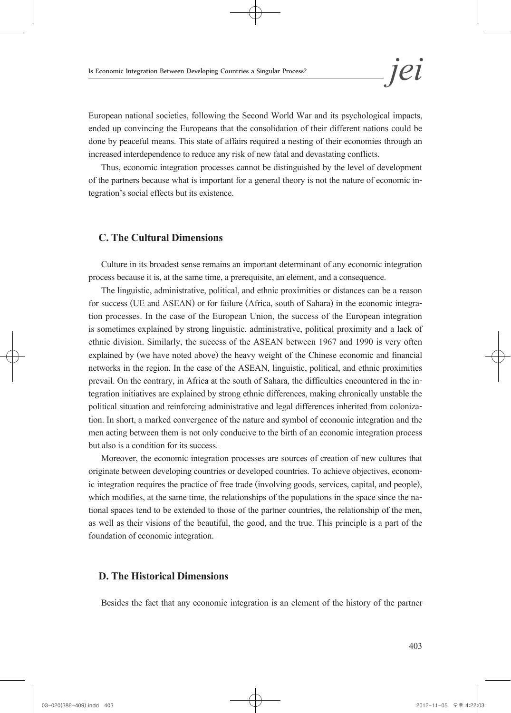European national societies, following the Second World War and its psychological impacts, ended up convincing the Europeans that the consolidation of their different nations could be done by peaceful means. This state of affairs required a nesting of their economies through an increased interdependence to reduce any risk of new fatal and devastating conflicts.

Thus, economic integration processes cannot be distinguished by the level of development of the partners because what is important for a general theory is not the nature of economic in- tegration's social effects but its existence.

#### **C. The Cultural Dimensions**

Culture in its broadest sense remains an important determinant of any economic integration process because it is, at the same time, a prerequisite, an element, and a consequence.

The linguistic, administrative, political, and ethnic proximities or distances can be a reason for success (UE and ASEAN) or for failure (Africa, south of Sahara) in the economic integra- tion processes. In the case of the European Union, the success of the European integration is sometimes explained by strong linguistic, administrative, political proximity and a lack of ethnic division. Similarly, the success of the ASEAN between 1967 and 1990 is very often explained by (we have noted above) the heavy weight of the Chinese economic and financial networks in the region. In the case of the ASEAN, linguistic, political, and ethnic proximities prevail. On the contrary, in Africa at the south of Sahara, the difficulties encountered in the in- tegration initiatives are explained by strong ethnic differences, making chronically unstable the political situation and reinforcing administrative and legal differences inherited from coloniza- tion. In short, a marked convergence of the nature and symbol of economic integration and the men acting between them is not only conducive to the birth of an economic integration process but also is a condition for its success.

Moreover, the economic integration processes are sources of creation of new cultures that originate between developing countries or developed countries. To achieve objectives, econom- ic integration requires the practice of free trade (involving goods, services, capital, and people), which modifies, at the same time, the relationships of the populations in the space since the na-<br>tional spaces tend to be extended to those of the partner countries, the relationship of the men, as well as their visions of the beautiful, the good, and the true. This principle is a part of the foundation of economic integration.

#### **D. The Historical Dimensions**

Besides the fact that any economic integration is an element of the history of the partner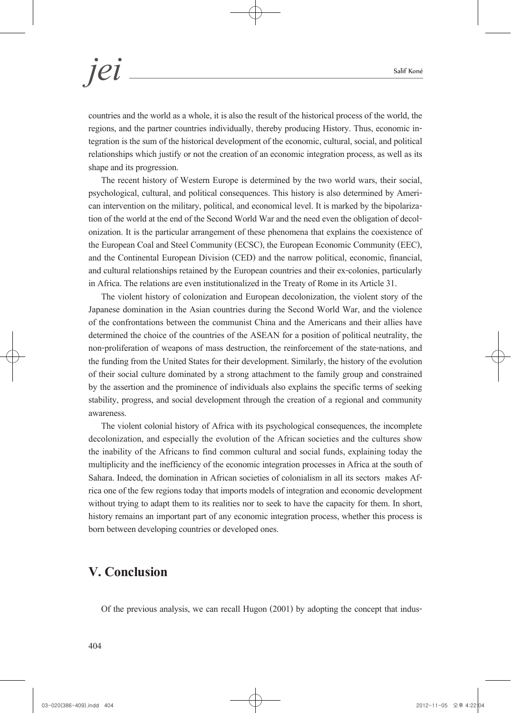countries and the world as a whole, it is also the result of the historical process of the world, the regions, and the partner countries individually, thereby producing History. Thus, economic in- tegration is the sum of the historical development of the economic, cultural, social, and political relationships which justify or not the creation of an economic integration process, as well as its shape and its progression.

The recent history of Western Europe is determined by the two world wars, their social, psychological, cultural, and political consequences. This history is also determined by American intervention on the military, political, and economical level. It is marked by the bipolarization of the world at the end of the European Coal and Steel Community (ECSC), the European Economic Community (EEC), and the Continental European Division (CED) and the narrow political, economic, financial, and cultural relationships retained by the European countries and their ex-colonies, particularly in Africa. The relations are even institutionalized in the Treaty of Rome in its Article 31.

The violent history of colonization and European decolonization, the violent story of the Japanese domination in the Asian countries during the Second World War, and the violence of the confrontations between the communist China and the Americans and their allies have determined the choice of the countries of the ASEAN for a position of political neutrality, the non-proliferation of weapons of mass destruction, the reinforcement of the state-nations, and the funding from the United States for their development. Similarly, the history of the evolution of their social culture dominated by a strong attachment to the family group and constrained by the assertion and the prominence of individuals also explains the specific terms of seeking stability, progress, and social development through the creation of a regional and community awareness.

The violent colonial history of Africa with its psychological consequences, the incomplete decolonization, and especially the evolution of the African societies and the cultures show the inability of the Africans to find common cultural and social funds, explaining today the multiplicity and the inefficiency of the economic integration processes in Africa at the south of Sahara. Indeed, the domination in African societies of colonialism in all its sectors makes Af- rica one of the few regions today that imports models of integration and economic development without trying to adapt them to its realities nor to seek to have the capacity for them. In short, history remains an important part of any economic integration process, whether this process is born between developing countries or developed ones.

### **V. Conclusion**

Of the previous analysis, we can recall Hugon (2001) by adopting the concept that indus-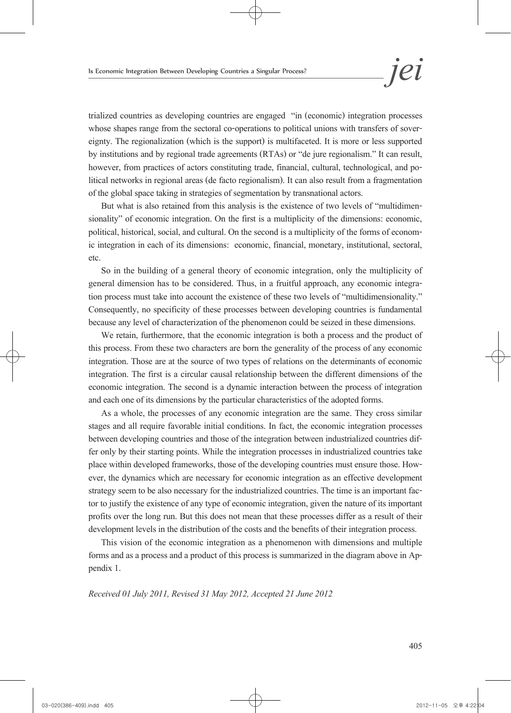trialized countries as developing countries are engaged "in (economic) integration processes whose shapes range from the sectoral co-operations to political unions with transfers of sover-<br>eignty. The regionalization (which is the support) is multifaceted. It is more or less supported by institutions and by regional trade agreements (RTAs) or "de jure regionalism." It can result, however, from practices of actors constituting trade, financial, cultural, technological, and po-<br>litical networks in regional areas (de facto regionalism). It can also result from a fragmentation of the global space taking in strategies of segmentation by transnational actors.

But what is also retained from this analysis is the existence of two levels of "multidimensionality" of economic integration. On the first is a multiplicity of the dimensions: economic, political, historical, social, and cultural. On the second is a multiplicity of the forms of economic integration in each of its dimensions: economic, financial, monetary, institutional, sectoral, etc.

So in the building of a general theory of economic integration, only the multiplicity of general dimension has to be considered. Thus, in a fruitful approach, any economic integra- tion process must take into account the existence of these two levels of "multidimensionality." Consequently, no specificity of these processes between developing countries is fundamental because any level of characterization of the phenomenon could be seized in these dimensions.

We retain, furthermore, that the economic integration is both a process and the product of this process. From these two characters are born the generality of the process of any economic integration. Those are at the source of two types of relations on the determinants of economic integration. The first is a circular causal relationship between the different dimensions of the economic integration. The second is a dynamic interaction between the process of integration and each one of its dimensions by the particular characteristics of the adopted forms.

As a whole, the processes of any economic integration are the same. They cross similar stages and all require favorable initial conditions. In fact, the economic integration processes between developing countries and those of the integration between industrialized countries dif- fer only by their starting points. While the integration processes in industrialized countries take place within developed frameworks, those of the developing countries must ensure those. How- ever, the dynamics which are necessary for economic integration as an effective development strategy seem to be also necessary for the industrialized countries. The time is an important fac- tor to justify the existence of any type of economic integration, given the nature of its important profits over the long run. But this does not mean that these processes differ as a result of their development levels in the distribution of the costs and the benefits of their integration process.

This vision of the economic integration as a phenomenon with dimensions and multiple forms and as a process and a product of this process is summarized in the diagram above in Appendix 1.

*Received 01 July 2011, Revised 31 May 2012, Accepted 21 June 2012*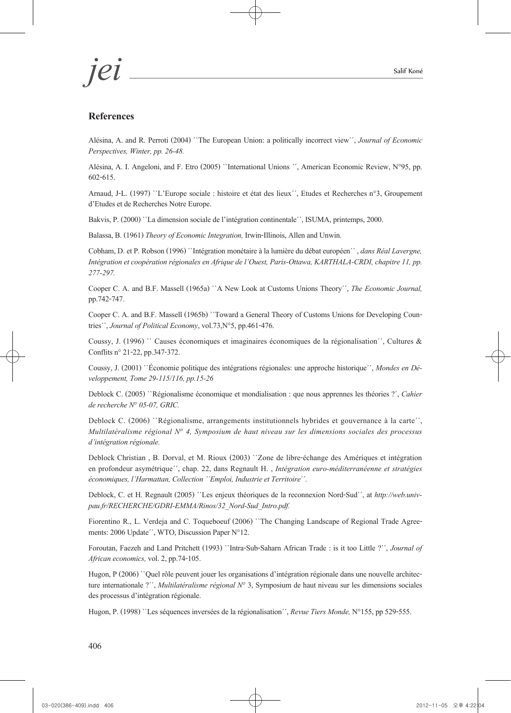*jei* Salif Koné

#### **References**

Alésina, A. and R. Perroti (2004) ``The European Union: a politically incorrect view´´, *Journal of Economic Perspectives, Winter, pp. 26-48.*

Alésina, A. I. Angeloni, and F. Etro (2005) ``International Unions ´´, American Economic Review, N°95, pp. 602-615.

Arnaud, J-L. (1997) ``L'Europe sociale : histoire et état des lieux´´, Etudes et Recherches n°3, Groupement d'Etudes et de Recherches Notre Europe.

Bakvis, P. (2000) ``La dimension sociale de l'intégration continentale´´, ISUMA, printemps, 2000.

Balassa, B. (1961) *Theory of Economic Integration,* Irwin-Illinois, Allen and Unwin.

Cobham, D. et P. Robson (1996) ``Intégration monétaire à la lumière du débat européen´´ , *dans Réal Lavergne, Intégration et coopération régionales en Afrique de l'Ouest, Paris-Ottawa, KARTHALA-CRDI, chapitre 11, pp. 277-297.*

Cooper C. A. and B.F. Massell (1965a) ``A New Look at Customs Unions Theory´´, *The Economic Journal,* pp.742-747.

Cooper C. A. and B.F. Massell (1965b) ``Toward a General Theory of Customs Unions for Developing Coun- tries´´, *Journal of Political Economy*, vol.73,N°5, pp.461-476.

Coussy, J. (1996) `` Causes économiques et imaginaires économiques de la régionalisation´´, Cultures & Conflits n° 21-22, pp.347-372.

Coussy, J. (2001) ``Économie politique des intégrations régionales: une approche historique´´, *Mondes en Dé- veloppement, Tome 29-115/116, pp.15-26*

Deblock C. (2005) ``Régionalisme économique et mondialisation : que nous apprennes les théories ?´, *Cahier de recherche N° 05-07, GRIC.*

Deblock C. (2006) ``Régionalisme, arrangements institutionnels hybrides et gouvernance à la carte´´, *Multilatéralisme régional N° 4, Symposium de haut niveau sur les dimensions sociales des processus d'intégration régionale.*

Deblock Christian , B. Dorval, et M. Rioux (2003) ``Zone de libre-échange des Amériques et intégration en profondeur asymétrique´´, chap. 22, dans Regnault H. , *Intégration euro-méditerranéenne et stratégies économiques, l'Harmattan, Collection ``Emploi, Industrie et Territoire´´.*

Deblock, C. et H. Regnault (2005) ``Les enjeux théoriques de la reconnexion Nord-Sud´´, at *http://web.univpau.fr/RECHERCHE/GDRI-EMMA/Rinos/32\_Nord-Sud\_Intro.pdf.*

Fiorentino R., L. Verdeja and C. Toqueboeuf (2006) ``The Changing Landscape of Regional Trade Agreements: 2006 Update´´, WTO, Discussion Paper N°12.

Foroutan, Faezeh and Land Pritchett (1993) ``Intra-Sub-Saharn African Trade : is it too Little ?´´, *Journal of African economics,* vol. 2, pp.74-105.

Hugon, P (2006) '`Quel rôle peuvent jouer les organisations d'intégration régionale dans une nouvelle architecture internationale ?'', *Multilatéralisme régional*  $N^{\circ}$  3, Symposium de haut niveau sur les dimensions soc des processus d'intégration régionale.

Hugon, P. (1998) ``Les séquences inversées de la régionalisation´´, *Revue Tiers Monde,* N°155, pp 529-555.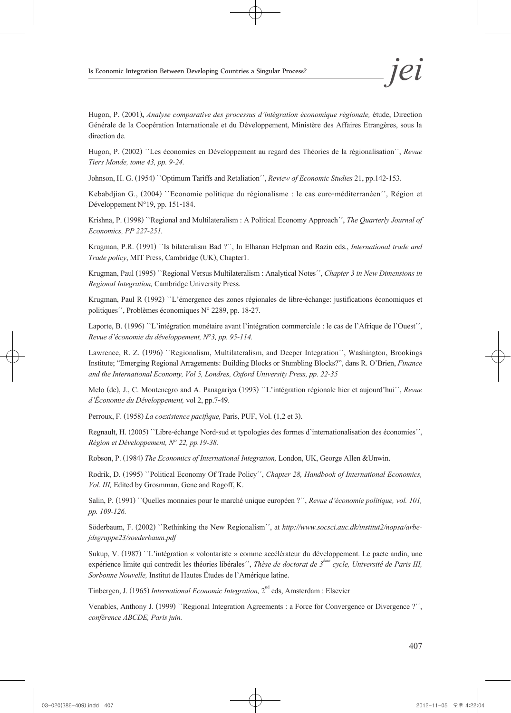Hugon, P. (2001)**,** *Analyse comparative des processus d'intégration économique régionale,* étude, Direction Générale de la Coopération Internationale et du Développement, Ministère des Affaires Etrangères, sous la direction de.

Hugon, P. (2002) ``Les économies en Développement au regard des Théories de la régionalisation´´, *Revue Tiers Monde, tome 43, pp. 9-24.*

Johnson, H. G. (1954) ``Optimum Tariffs and Retaliation´´, *Review of Economic Studies* 21, pp.142-153.

Kebabdjian G., (2004) ``Economie politique du régionalisme : le cas euro-méditerranéen´´, Région et Développement N°19, pp. 151-184.

Krishna, P. (1998) ``Regional and Multilateralism : A Political Economy Approach´´, *The Quarterly Journal of Economics, PP 227-251.*

Krugman, P.R. (1991) ``Is bilateralism Bad ?´´, In Elhanan Helpman and Razin eds., *International trade and Trade policy*, MIT Press, Cambridge (UK), Chapter1.

Krugman, Paul (1995) ``Regional Versus Multilateralism : Analytical Notes´´, *Chapter 3 in New Dimensions in Regional Integration,* Cambridge University Press.

Krugman, Paul R (1992) ``L'émergence des zones régionales de libre-échange: justifications économiques et politiques´´, Problèmes économiques N° 2289, pp. 18-27.

Laporte, B. (1996) ''L'intégration monétaire avant l'intégration commerciale : le cas de l'Afrique de l'Ouest'', *Revue d'économie du développement, N°3, pp. 95-114.*

Lawrence, R. Z. (1996) "Regionalism, Multilateralism, and Deeper Integration'', Washington, Brookings Institute; "Emerging Regional Arragements: Building Blocks or Stumbling Blocks?", dans R. O'Brien, *Finance and the International Economy, Vol 5, Londres, Oxford University Press, pp. 22-35*

Melo (de), J., C. Montenegro and A. Panagariya (1993) ``L'intégration régionale hier et aujourd'hui´´, *Revue d'Économie du Développement,* vol 2, pp.7-49.

Perroux, F. (1958) *La coexistence pacifique,* Paris, PUF, Vol. (1,2 et 3).

Regnault, H. (2005) ``Libre-échange Nord-sud et typologies des formes d'internationalisation des économies´´, *Région et Développement, N° 22, pp.19-38.*

Robson, P. (1984) *The Economics of International Integration,* London, UK, George Allen &Unwin.

Rodrik, D. (1995) ``Political Economy Of Trade Policy´´, *Chapter 28, Handbook of International Economics, Vol. III,* Edited by Grosmman, Gene and Rogoff, K.

Salin, P. (1991) ``Quelles monnaies pour le marché unique européen?´´, *Revue d'économie politique, vol. 101, pp. 109-126.*

Söderbaum, F. (2002) ``Rethinking the New Regionalism´´, at *http://www.socsci.auc.dk/institut2/nopsa/arbe- jdsgruppe23/soederbaum.pdf*

Sukup, V. (1987) ``L'intégration « volontariste » comme accélérateur du développement. Le pacte andin, une expérience limite qui contredit les théories libérales<sup>''</sup>, *Thèse de doctorat de 3<sup>ème</sup> cycle, Université de Paris III*, *Sorbonne Nouvelle,* Institut de Hautes Études de l'Amérique latine.

Tinbergen, J. (1965) *International Economic Integration*, 2<sup>nd</sup> eds, Amsterdam : Elsevier

Venables, Anthony J. (1999) ''Regional Integration Agreements : a Force for Convergence or Divergence ?'', *conférence ABCDE, Paris juin.*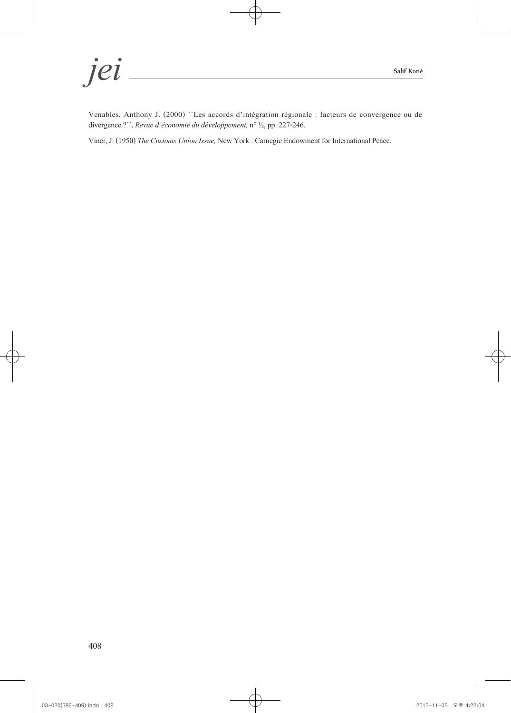*jei* Salif Koné

Venables, Anthony J. (2000) ``Les accords d'intégration régionale : facteurs de convergence ou de divergence ?´´, *Revue d'économie du développement,* n° ½, pp. 227-246.

Viner, J. (1950) *The Customs Union Issue,* New York: Carnegie Endowment for International Peace.